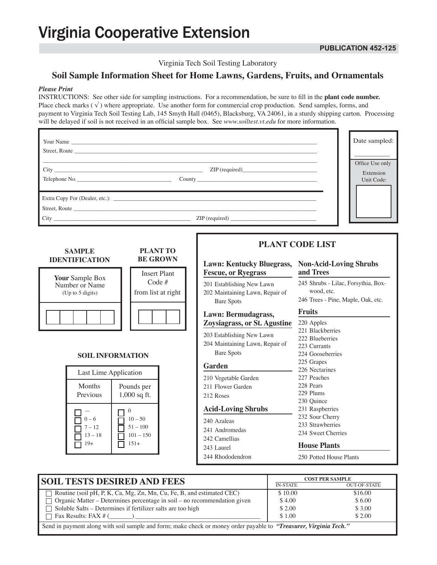# **Virginia Cooperative Extension**

Virginia Tech Soil Testing Laboratory

# **Soil Sample Information Sheet for Home Lawns, Gardens, Fruits, and Ornamentals**

#### *Please Print*

INSTRUCTIONS: See other side for sampling instructions. For a recommendation, be sure to fill in the **plant code number.** Place check marks  $(\checkmark)$  where appropriate. Use another form for commercial crop production. Send samples, forms, and payment to Virginia Tech Soil Testing Lab, 145 Smyth Hall (0465), Blacksburg, VA 24061, in a sturdy shipping carton. Processing will be delayed if soil is not received in an official sample box. See *www.soiltest.vt.edu* for more information.

|                                                       | Date sampled:                                                    |                                                                                                                          |                                                                                                                                                                              |  |
|-------------------------------------------------------|------------------------------------------------------------------|--------------------------------------------------------------------------------------------------------------------------|------------------------------------------------------------------------------------------------------------------------------------------------------------------------------|--|
| Street, Route                                         |                                                                  |                                                                                                                          |                                                                                                                                                                              |  |
|                                                       | Office Use only<br>Extension<br>Unit Code:                       |                                                                                                                          |                                                                                                                                                                              |  |
|                                                       |                                                                  | Street, Route                                                                                                            |                                                                                                                                                                              |  |
| <b>SAMPLE</b><br><b>IDENTIFICATION</b>                | <b>PLANT TO</b><br><b>BE GROWN</b><br><b>Insert Plant</b>        | <b>Lawn: Kentucky Bluegrass,</b><br><b>Fescue, or Ryegrass</b>                                                           | <b>PLANT CODE LIST</b><br><b>Non-Acid-Loving Shrubs</b><br>and Trees                                                                                                         |  |
| Your Sample Box<br>Number or Name<br>(Up to 5 digits) | Code $#$<br>from list at right                                   | 201 Establishing New Lawn<br>202 Maintaining Lawn, Repair of<br><b>Bare Spots</b><br>Lawn: Bermudagrass,                 | 245 Shrubs - Lilac, Forsythia, Box-<br>wood, etc.<br>246 Trees - Pine, Maple, Oak, etc.<br><b>Fruits</b>                                                                     |  |
| <b>SOIL INFORMATION</b>                               |                                                                  | <b>Zoysiagrass, or St. Agustine</b><br>203 Establishing New Lawn<br>204 Maintaining Lawn, Repair of<br><b>Bare Spots</b> | 220 Apples<br>221 Blackberries<br>222 Blueberries<br>223 Currants<br>224 Gooseberries<br>225 Grapes                                                                          |  |
| Last Lime Application<br>Months<br>Previous           | Pounds per<br>$1,000$ sq ft.                                     | Garden<br>210 Vegetable Garden<br>211 Flower Garden<br>212 Roses                                                         | 226 Nectarines<br>227 Peaches<br>228 Pears<br>229 Plums<br>230 Quince<br>231 Raspberries<br>232 Sour Cherry<br>233 Strawberries<br>234 Sweet Cherries<br><b>House Plants</b> |  |
| $0 - 6$<br>$7 - 12$<br>$13 - 18$<br>$19+$             | $\mathbf{0}$<br>$10 - 50$<br>$51 - 100$<br>$101 - 150$<br>$151+$ | <b>Acid-Loving Shrubs</b><br>240 Azaleas<br>241 Andromedas<br>242 Camellias<br>243 Laurel                                |                                                                                                                                                                              |  |
|                                                       |                                                                  | 244 Rhododendron                                                                                                         | 250 Potted House Plants                                                                                                                                                      |  |

| <b>SOIL TESTS DESIRED AND FEES</b>                                                                                | <b>COST PER SAMPLE</b> |                     |  |
|-------------------------------------------------------------------------------------------------------------------|------------------------|---------------------|--|
|                                                                                                                   | <b>IN-STATE</b>        | <b>OUT-OF-STATE</b> |  |
| $\Box$ Routine (soil pH, P, K, Ca, Mg, Zn, Mn, Cu, Fe, B, and estimated CEC)                                      | \$10.00                | \$16.00             |  |
| $\Box$ Organic Matter – Determines percentage in soil – no recommendation given                                   | \$4.00                 | \$6.00              |  |
| $\Box$ Soluble Salts – Determines if fertilizer salts are too high                                                | \$2.00                 | \$3.00              |  |
| $\Box$ Fax Results: FAX # ()                                                                                      | \$1.00                 | \$2.00              |  |
| Send in payment along with soil sample and form; make check or money order payable to "Treasurer, Virginia Tech." |                        |                     |  |